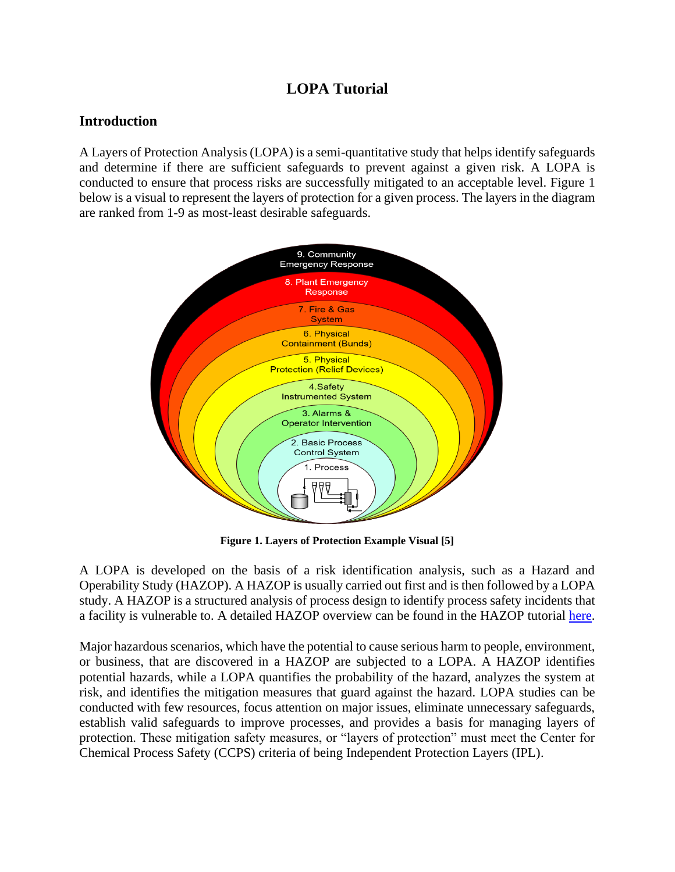## **LOPA Tutorial**

## **Introduction**

A Layers of Protection Analysis (LOPA) is a semi-quantitative study that helps identify safeguards and determine if there are sufficient safeguards to prevent against a given risk. A LOPA is conducted to ensure that process risks are successfully mitigated to an acceptable level. Figure 1 below is a visual to represent the layers of protection for a given process. The layers in the diagram are ranked from 1-9 as most-least desirable safeguards.



**Figure 1. Layers of Protection Example Visual [5]**

A LOPA is developed on the basis of a risk identification analysis, such as a Hazard and Operability Study (HAZOP). A HAZOP is usually carried out first and is then followed by a LOPA study. A HAZOP is a structured analysis of process design to identify process safety incidents that a facility is vulnerable to. A detailed HAZOP overview can be found in the HAZOP tutorial [here.](http://umich.edu/~safeche/assets/pdf/HAZOP_Tutorial.pdf)

Major hazardous scenarios, which have the potential to cause serious harm to people, environment, or business, that are discovered in a HAZOP are subjected to a LOPA. A HAZOP identifies potential hazards, while a LOPA quantifies the probability of the hazard, analyzes the system at risk, and identifies the mitigation measures that guard against the hazard. LOPA studies can be conducted with few resources, focus attention on major issues, eliminate unnecessary safeguards, establish valid safeguards to improve processes, and provides a basis for managing layers of protection. These mitigation safety measures, or "layers of protection" must meet the Center for Chemical Process Safety (CCPS) criteria of being Independent Protection Layers (IPL).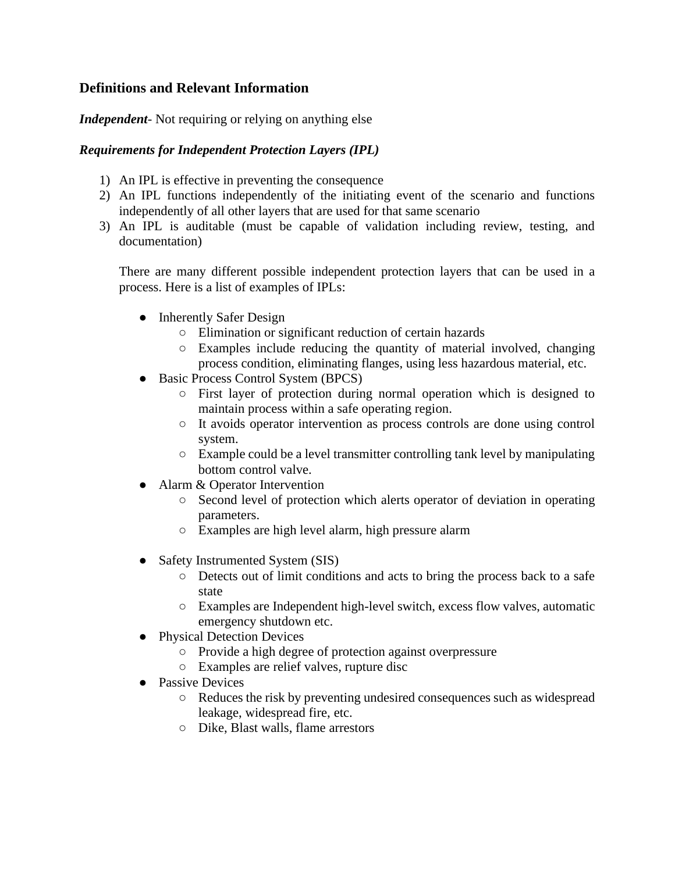## **Definitions and Relevant Information**

*Independent*- Not requiring or relying on anything else

#### *Requirements for Independent Protection Layers (IPL)*

- 1) An IPL is effective in preventing the consequence
- 2) An IPL functions independently of the initiating event of the scenario and functions independently of all other layers that are used for that same scenario
- 3) An IPL is auditable (must be capable of validation including review, testing, and documentation)

There are many different possible independent protection layers that can be used in a process. Here is a list of examples of IPLs:

- Inherently Safer Design
	- Elimination or significant reduction of certain hazards
	- Examples include reducing the quantity of material involved, changing process condition, eliminating flanges, using less hazardous material, etc.
- Basic Process Control System (BPCS)
	- First layer of protection during normal operation which is designed to maintain process within a safe operating region.
	- It avoids operator intervention as process controls are done using control system.
	- Example could be a level transmitter controlling tank level by manipulating bottom control valve.
- Alarm & Operator Intervention
	- Second level of protection which alerts operator of deviation in operating parameters.
	- Examples are high level alarm, high pressure alarm
- Safety Instrumented System (SIS)
	- Detects out of limit conditions and acts to bring the process back to a safe state
	- Examples are Independent high-level switch, excess flow valves, automatic emergency shutdown etc.
- Physical Detection Devices
	- Provide a high degree of protection against overpressure
	- Examples are relief valves, rupture disc
- Passive Devices
	- Reduces the risk by preventing undesired consequences such as widespread leakage, widespread fire, etc.
	- Dike, Blast walls, flame arrestors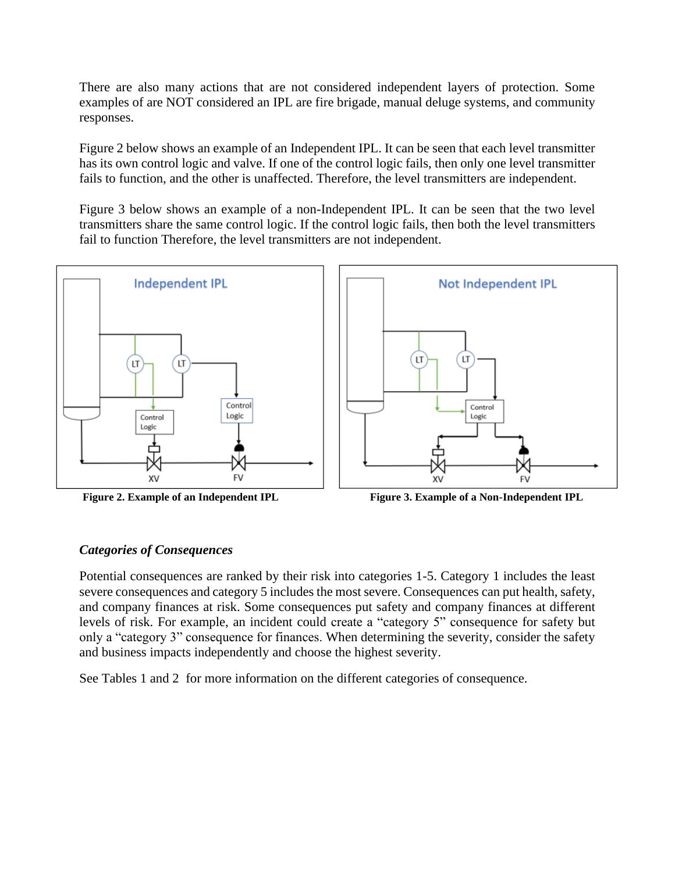There are also many actions that are not considered independent layers of protection. Some examples of are NOT considered an IPL are fire brigade, manual deluge systems, and community responses.

Figure 2 below shows an example of an Independent IPL. It can be seen that each level transmitter has its own control logic and valve. If one of the control logic fails, then only one level transmitter fails to function, and the other is unaffected. Therefore, the level transmitters are independent.

Figure 3 below shows an example of a non-Independent IPL. It can be seen that the two level transmitters share the same control logic. If the control logic fails, then both the level transmitters fail to function Therefore, the level transmitters are not independent.





**Figure 2. Example of an Independent IPL Figure 3. Example of a Non-Independent IPL**

#### *Categories of Consequences*

Potential consequences are ranked by their risk into categories 1-5. Category 1 includes the least severe consequences and category 5 includes the most severe. Consequences can put health, safety, and company finances at risk. Some consequences put safety and company finances at different levels of risk. For example, an incident could create a "category 5" consequence for safety but only a "category 3" consequence for finances. When determining the severity, consider the safety and business impacts independently and choose the highest severity.

See Tables 1 and 2 for more information on the different categories of consequence.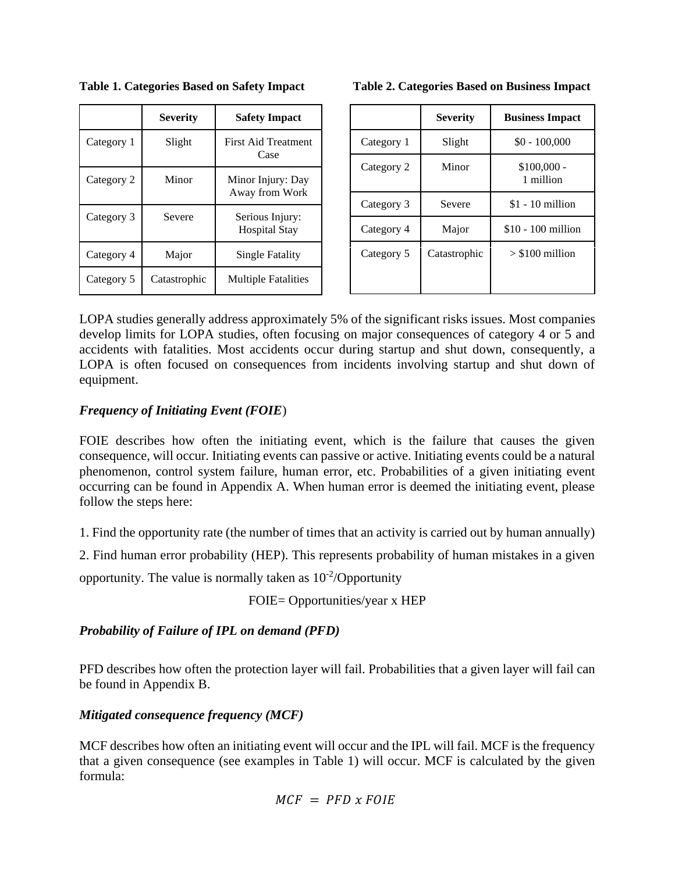|            | <b>Severity</b> | <b>Safety Impact</b>                    |
|------------|-----------------|-----------------------------------------|
| Category 1 | Slight          | <b>First Aid Treatment</b><br>Case      |
| Category 2 | Minor           | Minor Injury: Day<br>Away from Work     |
| Category 3 | Severe          | Serious Injury:<br><b>Hospital Stay</b> |
| Category 4 | Major           | Single Fatality                         |
| Category 5 | Catastrophic    | <b>Multiple Fatalities</b>              |

**Table 1. Categories Based on Safety Impact Table 2. Categories Based on Business Impact** 

|  |  |  |  | Table 2. Categories Based on Business Impact |  |
|--|--|--|--|----------------------------------------------|--|
|--|--|--|--|----------------------------------------------|--|

|            | <b>Severity</b> | <b>Business Impact</b>    |
|------------|-----------------|---------------------------|
| Category 1 | Slight          | $$0 - 100,000$            |
| Category 2 | Minor           | $$100,000$ -<br>1 million |
| Category 3 | Severe          | $$1 - 10$ million         |
| Category 4 | Major           | \$10 - 100 million        |
| Category 5 | Catastrophic    | $> $100$ million          |

LOPA studies generally address approximately 5% of the significant risks issues. Most companies develop limits for LOPA studies, often focusing on major consequences of category 4 or 5 and accidents with fatalities. Most accidents occur during startup and shut down, consequently, a LOPA is often focused on consequences from incidents involving startup and shut down of equipment.

## *Frequency of Initiating Event (FOIE*)

FOIE describes how often the initiating event, which is the failure that causes the given consequence, will occur. Initiating events can passive or active. Initiating events could be a natural phenomenon, control system failure, human error, etc. Probabilities of a given initiating event occurring can be found in Appendix A. When human error is deemed the initiating event, please follow the steps here:

1. Find the opportunity rate (the number of times that an activity is carried out by human annually)

2. Find human error probability (HEP). This represents probability of human mistakes in a given

opportunity. The value is normally taken as  $10^{-2}/$ Opportunity

FOIE= Opportunities/year x HEP

## *Probability of Failure of IPL on demand (PFD)*

PFD describes how often the protection layer will fail. Probabilities that a given layer will fail can be found in Appendix B.

## *Mitigated consequence frequency (MCF)*

MCF describes how often an initiating event will occur and the IPL will fail. MCF is the frequency that a given consequence (see examples in Table 1) will occur. MCF is calculated by the given formula:

$$
MCF = PFD \times FOIE
$$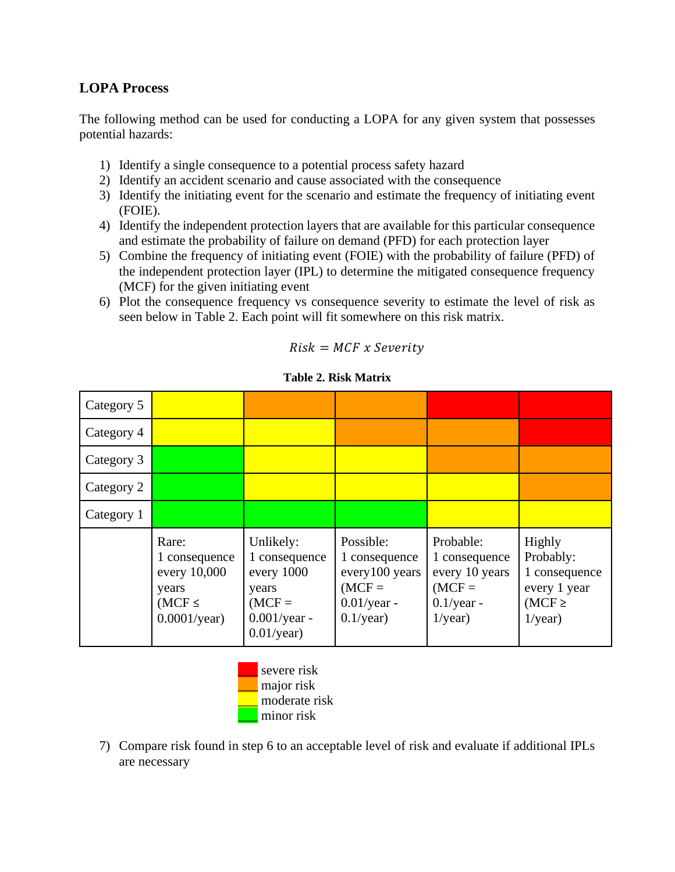## **LOPA Process**

The following method can be used for conducting a LOPA for any given system that possesses potential hazards:

- 1) Identify a single consequence to a potential process safety hazard
- 2) Identify an accident scenario and cause associated with the consequence
- 3) Identify the initiating event for the scenario and estimate the frequency of initiating event (FOIE).
- 4) Identify the independent protection layers that are available for this particular consequence and estimate the probability of failure on demand (PFD) for each protection layer
- 5) Combine the frequency of initiating event (FOIE) with the probability of failure (PFD) of the independent protection layer (IPL) to determine the mitigated consequence frequency (MCF) for the given initiating event
- 6) Plot the consequence frequency vs consequence severity to estimate the level of risk as seen below in Table 2. Each point will fit somewhere on this risk matrix.

| Category 5 |                                                                                        |                                                                                                   |                                                                                            |                                                                                         |                                                                                   |
|------------|----------------------------------------------------------------------------------------|---------------------------------------------------------------------------------------------------|--------------------------------------------------------------------------------------------|-----------------------------------------------------------------------------------------|-----------------------------------------------------------------------------------|
| Category 4 |                                                                                        |                                                                                                   |                                                                                            |                                                                                         |                                                                                   |
| Category 3 |                                                                                        |                                                                                                   |                                                                                            |                                                                                         |                                                                                   |
| Category 2 |                                                                                        |                                                                                                   |                                                                                            |                                                                                         |                                                                                   |
| Category 1 |                                                                                        |                                                                                                   |                                                                                            |                                                                                         |                                                                                   |
|            | Rare:<br>1 consequence<br>every 10,000<br>years<br>$(MCF \leq$<br>$0.0001/\text{year}$ | Unlikely:<br>1 consequence<br>every 1000<br>years<br>$(MCF =$<br>$0.001$ /year -<br>$0.01$ /year) | Possible:<br>1 consequence<br>every100 years<br>$(MCF =$<br>$0.01$ /year -<br>$0.1$ /year) | Probable:<br>1 consequence<br>every 10 years<br>$(MCF =$<br>$0.1$ /year -<br>$1$ /year) | Highly<br>Probably:<br>1 consequence<br>every 1 year<br>$(MCF \geq$<br>$1$ /year) |

**Table 2. Risk Matrix** 

 $Risk = MCF \times Severity$ 



7) Compare risk found in step 6 to an acceptable level of risk and evaluate if additional IPLs are necessary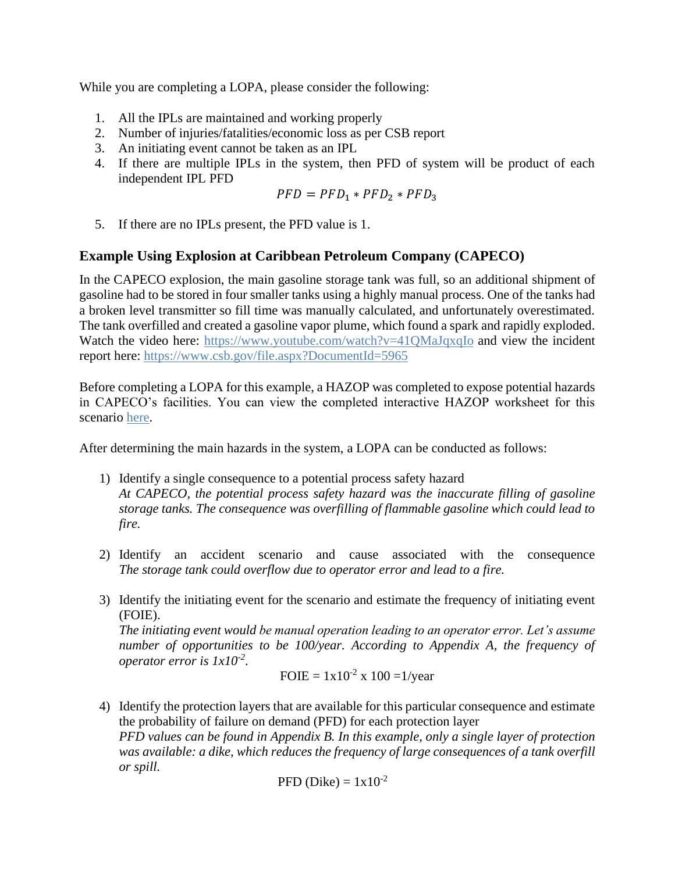While you are completing a LOPA, please consider the following:

- 1. All the IPLs are maintained and working properly
- 2. Number of injuries/fatalities/economic loss as per CSB report
- 3. An initiating event cannot be taken as an IPL
- 4. If there are multiple IPLs in the system, then PFD of system will be product of each independent IPL PFD

$$
PFD = PFD_1 * PFD_2 * PFD_3
$$

5. If there are no IPLs present, the PFD value is 1.

## **Example Using Explosion at Caribbean Petroleum Company (CAPECO)**

In the CAPECO explosion, the main gasoline storage tank was full, so an additional shipment of gasoline had to be stored in four smaller tanks using a highly manual process. One of the tanks had a broken level transmitter so fill time was manually calculated, and unfortunately overestimated. The tank overfilled and created a gasoline vapor plume, which found a spark and rapidly exploded. Watch the video here:<https://www.youtube.com/watch?v=41QMaJqxqIo> and view the incident report here:<https://www.csb.gov/file.aspx?DocumentId=5965>

Before completing a LOPA for this example, a HAZOP was completed to expose potential hazards in CAPECO's facilities. You can view the completed interactive HAZOP worksheet for this scenario [here.](http://umich.edu/~safeche/table.html)

After determining the main hazards in the system, a LOPA can be conducted as follows:

- 1) Identify a single consequence to a potential process safety hazard *At CAPECO, the potential process safety hazard was the inaccurate filling of gasoline storage tanks. The consequence was overfilling of flammable gasoline which could lead to fire.*
- 2) Identify an accident scenario and cause associated with the consequence *The storage tank could overflow due to operator error and lead to a fire.*
- 3) Identify the initiating event for the scenario and estimate the frequency of initiating event (FOIE).

*The initiating event would be manual operation leading to an operator error. Let's assume number of opportunities to be 100/year. According to Appendix A, the frequency of operator error is 1x10-2* .

FOIE = 
$$
1x10^{-2}
$$
 x  $100 = 1$ /year

4) Identify the protection layers that are available for this particular consequence and estimate the probability of failure on demand (PFD) for each protection layer *PFD values can be found in Appendix B. In this example, only a single layer of protection was available: a dike, which reduces the frequency of large consequences of a tank overfill or spill.* 

$$
PFD
$$
 (Dike) =  $1x10^{-2}$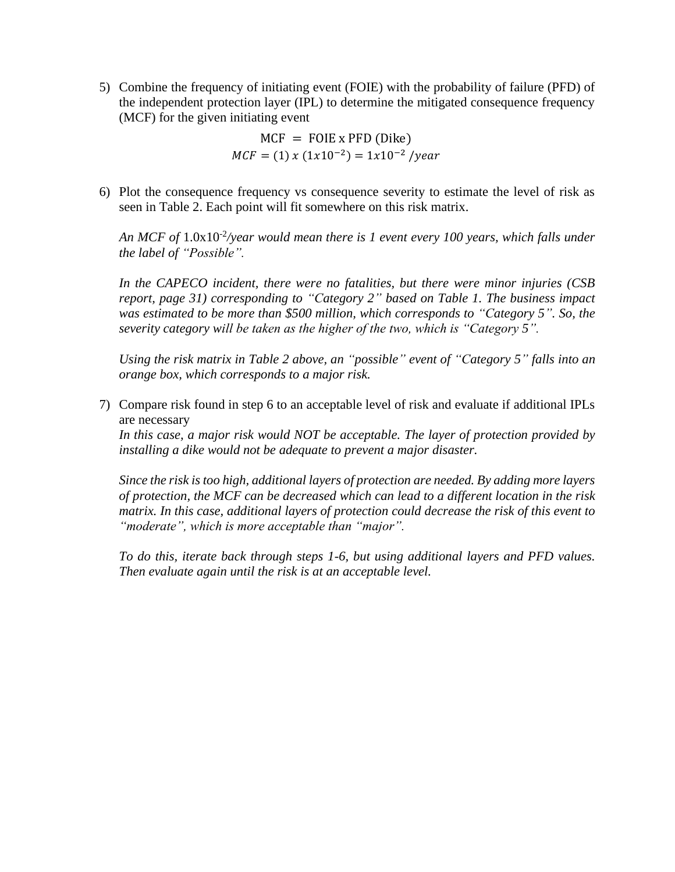5) Combine the frequency of initiating event (FOIE) with the probability of failure (PFD) of the independent protection layer (IPL) to determine the mitigated consequence frequency (MCF) for the given initiating event

> $MCF = FOIE \times PFD (Dike)$  $MCF = (1) x (1x10^{-2}) = 1x10^{-2} /year$

6) Plot the consequence frequency vs consequence severity to estimate the level of risk as seen in Table 2. Each point will fit somewhere on this risk matrix.

An MCF of  $1.0x10^{-2}/year$  would mean there is 1 event every 100 years, which falls under *the label of "Possible".*

*In the CAPECO incident, there were no fatalities, but there were minor injuries (CSB report, page 31) corresponding to "Category 2" based on Table 1. The business impact was estimated to be more than \$500 million, which corresponds to "Category 5". So, the severity category will be taken as the higher of the two, which is "Category 5".*

*Using the risk matrix in Table 2 above, an "possible" event of "Category 5" falls into an orange box, which corresponds to a major risk.* 

7) Compare risk found in step 6 to an acceptable level of risk and evaluate if additional IPLs are necessary

*In this case, a major risk would NOT be acceptable. The layer of protection provided by installing a dike would not be adequate to prevent a major disaster.* 

*Since the risk is too high, additional layers of protection are needed. By adding more layers of protection, the MCF can be decreased which can lead to a different location in the risk matrix. In this case, additional layers of protection could decrease the risk of this event to "moderate", which is more acceptable than "major".* 

*To do this, iterate back through steps 1-6, but using additional layers and PFD values. Then evaluate again until the risk is at an acceptable level.*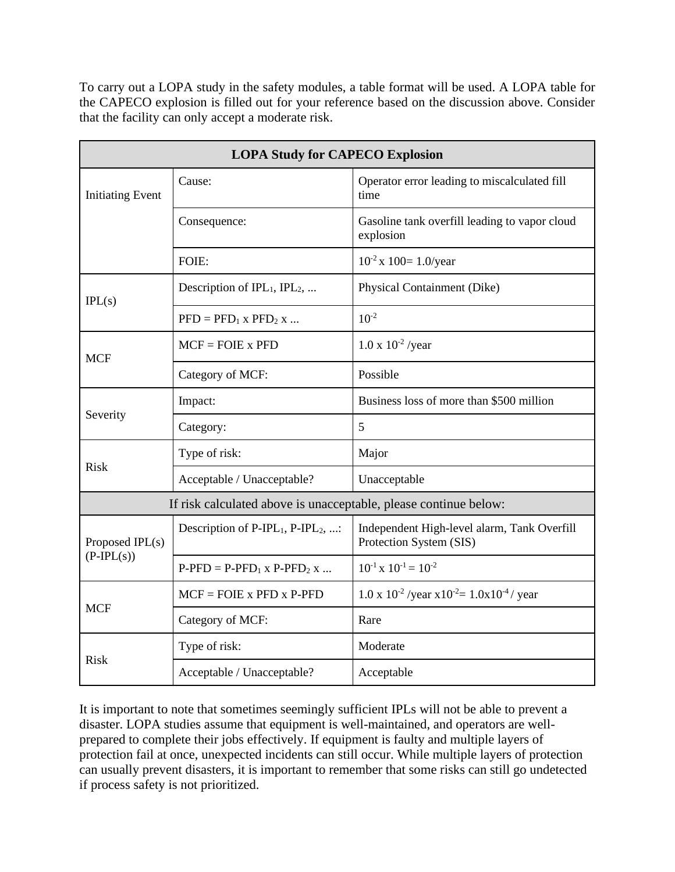To carry out a LOPA study in the safety modules, a table format will be used. A LOPA table for the CAPECO explosion is filled out for your reference based on the discussion above. Consider that the facility can only accept a moderate risk.

| <b>LOPA Study for CAPECO Explosion</b>                           |                                          |                                                                        |  |
|------------------------------------------------------------------|------------------------------------------|------------------------------------------------------------------------|--|
| <b>Initiating Event</b>                                          | Cause:                                   | Operator error leading to miscalculated fill<br>time                   |  |
|                                                                  | Consequence:                             | Gasoline tank overfill leading to vapor cloud<br>explosion             |  |
|                                                                  | FOIE:                                    | $10^{-2}$ x $100=1.0$ /year                                            |  |
| IPL(s)                                                           | Description of $IPL_1$ , $IPL_2$ ,       | Physical Containment (Dike)                                            |  |
|                                                                  | $PFD = PFD_1 x PFD_2 x $                 | $10^{-2}$                                                              |  |
| <b>MCF</b>                                                       | $MCF = FOIE \times PFD$                  | $1.0 \times 10^{-2}$ /year                                             |  |
|                                                                  | Category of MCF:                         | Possible                                                               |  |
| Severity                                                         | Impact:                                  | Business loss of more than \$500 million                               |  |
|                                                                  | Category:                                | 5                                                                      |  |
|                                                                  | Type of risk:                            | Major                                                                  |  |
| <b>Risk</b>                                                      | Acceptable / Unacceptable?               | Unacceptable                                                           |  |
| If risk calculated above is unacceptable, please continue below: |                                          |                                                                        |  |
| Proposed IPL(s)<br>$(P-IPL(s))$                                  | Description of $P-IPL_1$ , $P-IPL_2$ , : | Independent High-level alarm, Tank Overfill<br>Protection System (SIS) |  |
|                                                                  | $P-PPD = P-PPD_1$ x $P-PPD_2$ x          | $10^{-1}$ x $10^{-1}$ = $10^{-2}$                                      |  |
|                                                                  | $MCF = FOIE$ x PFD x P-PFD               | $1.0 \times 10^{-2}$ /year $x10^{-2} = 1.0x10^{-4}$ / year             |  |
| <b>MCF</b>                                                       | Category of MCF:                         | Rare                                                                   |  |
|                                                                  | Type of risk:                            | Moderate                                                               |  |
| <b>Risk</b>                                                      | Acceptable / Unacceptable?               | Acceptable                                                             |  |

It is important to note that sometimes seemingly sufficient IPLs will not be able to prevent a disaster. LOPA studies assume that equipment is well-maintained, and operators are wellprepared to complete their jobs effectively. If equipment is faulty and multiple layers of protection fail at once, unexpected incidents can still occur. While multiple layers of protection can usually prevent disasters, it is important to remember that some risks can still go undetected if process safety is not prioritized.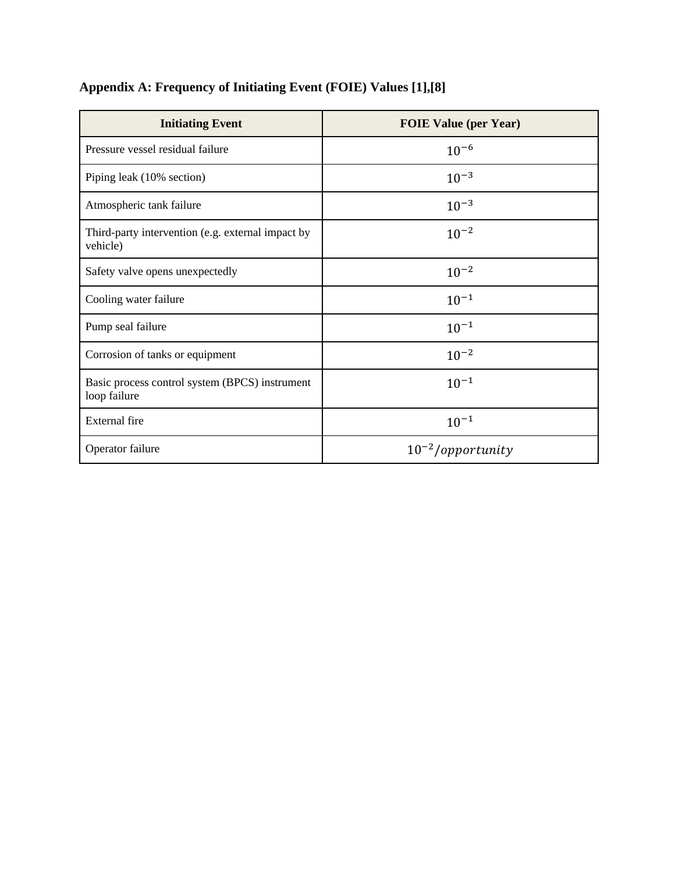| <b>Initiating Event</b>                                        | <b>FOIE Value (per Year)</b> |
|----------------------------------------------------------------|------------------------------|
| Pressure vessel residual failure                               | $10^{-6}$                    |
| Piping leak (10% section)                                      | $10^{-3}$                    |
| Atmospheric tank failure                                       | $10^{-3}$                    |
| Third-party intervention (e.g. external impact by<br>vehicle)  | $10^{-2}$                    |
| Safety valve opens unexpectedly                                | $10^{-2}$                    |
| Cooling water failure                                          | $10^{-1}$                    |
| Pump seal failure                                              | $10^{-1}$                    |
| Corrosion of tanks or equipment                                | $10^{-2}$                    |
| Basic process control system (BPCS) instrument<br>loop failure | $10^{-1}$                    |
| <b>External</b> fire                                           | $10^{-1}$                    |
| Operator failure                                               | $10^{-2}/\text{opportunity}$ |

# **Appendix A: Frequency of Initiating Event (FOIE) Values [1],[8]**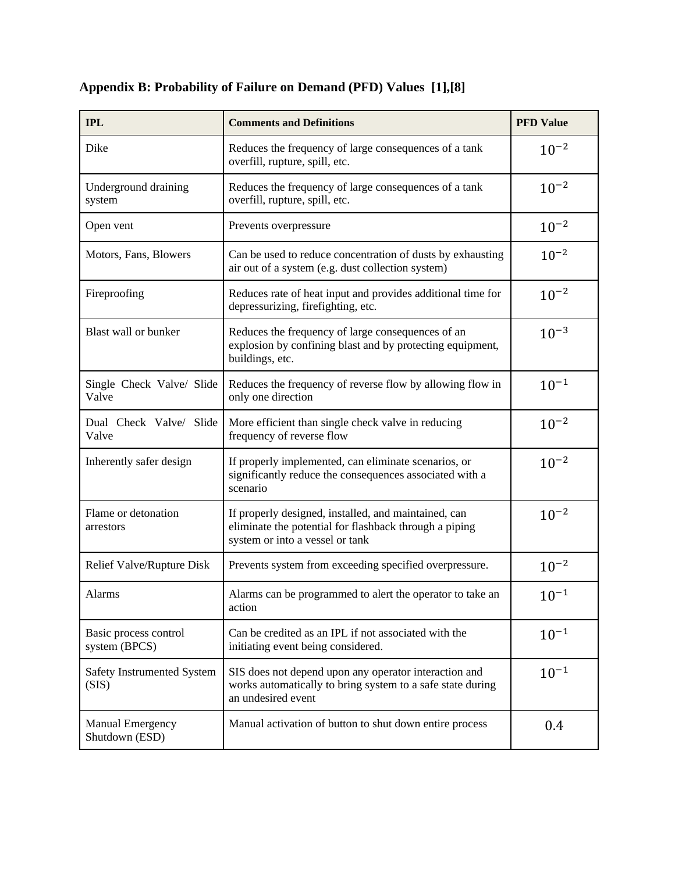| <b>IPL</b>                                | <b>Comments and Definitions</b>                                                                                                                   | <b>PFD Value</b> |
|-------------------------------------------|---------------------------------------------------------------------------------------------------------------------------------------------------|------------------|
| Dike                                      | Reduces the frequency of large consequences of a tank<br>overfill, rupture, spill, etc.                                                           | $10^{-2}$        |
| Underground draining<br>system            | Reduces the frequency of large consequences of a tank<br>overfill, rupture, spill, etc.                                                           | $10^{-2}$        |
| Open vent                                 | Prevents overpressure                                                                                                                             | $10^{-2}$        |
| Motors, Fans, Blowers                     | Can be used to reduce concentration of dusts by exhausting<br>air out of a system (e.g. dust collection system)                                   | $10^{-2}$        |
| Fireproofing                              | Reduces rate of heat input and provides additional time for<br>depressurizing, firefighting, etc.                                                 | $10^{-2}$        |
| Blast wall or bunker                      | Reduces the frequency of large consequences of an<br>explosion by confining blast and by protecting equipment,<br>buildings, etc.                 | $10^{-3}$        |
| Single Check Valve/ Slide<br>Valve        | Reduces the frequency of reverse flow by allowing flow in<br>only one direction                                                                   | $10^{-1}$        |
| Dual Check Valve/ Slide<br>Valve          | More efficient than single check valve in reducing<br>frequency of reverse flow                                                                   | $10^{-2}$        |
| Inherently safer design                   | If properly implemented, can eliminate scenarios, or<br>significantly reduce the consequences associated with a<br>scenario                       | $10^{-2}$        |
| Flame or detonation<br>arrestors          | If properly designed, installed, and maintained, can<br>eliminate the potential for flashback through a piping<br>system or into a vessel or tank | $10^{-2}$        |
| Relief Valve/Rupture Disk                 | Prevents system from exceeding specified overpressure.                                                                                            | $10^{-2}$        |
| Alarms                                    | Alarms can be programmed to alert the operator to take an<br>action                                                                               | $10^{-1}$        |
| Basic process control<br>system (BPCS)    | Can be credited as an IPL if not associated with the<br>initiating event being considered.                                                        | $10^{-1}$        |
| Safety Instrumented System<br>(SIS)       | SIS does not depend upon any operator interaction and<br>works automatically to bring system to a safe state during<br>an undesired event         | $10^{-1}$        |
| <b>Manual Emergency</b><br>Shutdown (ESD) | Manual activation of button to shut down entire process                                                                                           | 0.4              |

## **Appendix B: Probability of Failure on Demand (PFD) Values [1],[8]**